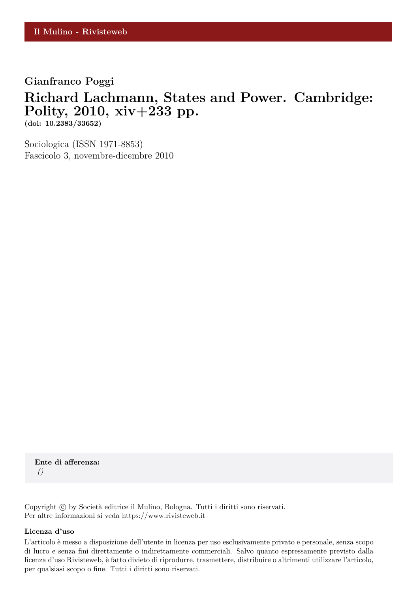## **Gianfranco Poggi**

## **Richard Lachmann, States and Power. Cambridge: Polity, 2010, xiv+233 pp.**

**(doi: 10.2383/33652)**

Sociologica (ISSN 1971-8853) Fascicolo 3, novembre-dicembre 2010

**Ente di afferenza:** *()*

Copyright © by Società editrice il Mulino, Bologna. Tutti i diritti sono riservati. Per altre informazioni si veda https://www.rivisteweb.it

## **Licenza d'uso**

L'articolo è messo a disposizione dell'utente in licenza per uso esclusivamente privato e personale, senza scopo di lucro e senza fini direttamente o indirettamente commerciali. Salvo quanto espressamente previsto dalla licenza d'uso Rivisteweb, è fatto divieto di riprodurre, trasmettere, distribuire o altrimenti utilizzare l'articolo, per qualsiasi scopo o fine. Tutti i diritti sono riservati.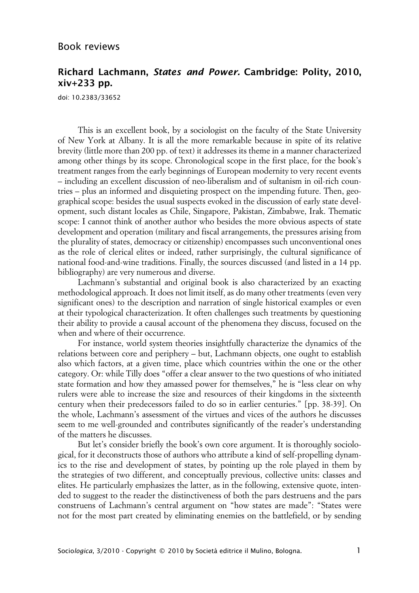## **Richard Lachmann, States and Power. Cambridge: Polity, 2010, xiv+233 pp.**

doi: 10.2383/33652

This is an excellent book, by a sociologist on the faculty of the State University of New York at Albany. It is all the more remarkable because in spite of its relative brevity (little more than 200 pp. of text) it addresses its theme in a manner characterized among other things by its scope. Chronological scope in the first place, for the book's treatment ranges from the early beginnings of European modernity to very recent events – including an excellent discussion of neo-liberalism and of sultanism in oil-rich countries – plus an informed and disquieting prospect on the impending future. Then, geographical scope: besides the usual suspects evoked in the discussion of early state development, such distant locales as Chile, Singapore, Pakistan, Zimbabwe, Irak. Thematic scope: I cannot think of another author who besides the more obvious aspects of state development and operation (military and fiscal arrangements, the pressures arising from the plurality of states, democracy or citizenship) encompasses such unconventional ones as the role of clerical elites or indeed, rather surprisingly, the cultural significance of national food-and-wine traditions. Finally, the sources discussed (and listed in a 14 pp. bibliography) are very numerous and diverse.

Lachmann's substantial and original book is also characterized by an exacting methodological approach. It does not limit itself, as do many other treatments (even very significant ones) to the description and narration of single historical examples or even at their typological characterization. It often challenges such treatments by questioning their ability to provide a causal account of the phenomena they discuss, focused on the when and where of their occurrence.

For instance, world system theories insightfully characterize the dynamics of the relations between core and periphery – but, Lachmann objects, one ought to establish also which factors, at a given time, place which countries within the one or the other category. Or: while Tilly does "offer a clear answer to the two questions of who initiated state formation and how they amassed power for themselves," he is "less clear on why rulers were able to increase the size and resources of their kingdoms in the sixteenth century when their predecessors failed to do so in earlier centuries." [pp. 38-39]. On the whole, Lachmann's assessment of the virtues and vices of the authors he discusses seem to me well-grounded and contributes significantly of the reader's understanding of the matters he discusses.

But let's consider briefly the book's own core argument. It is thoroughly sociological, for it deconstructs those of authors who attribute a kind of self-propelling dynamics to the rise and development of states, by pointing up the role played in them by the strategies of two different, and conceptually previous, collective units: classes and elites. He particularly emphasizes the latter, as in the following, extensive quote, intended to suggest to the reader the distinctiveness of both the pars destruens and the pars construens of Lachmann's central argument on "how states are made": "States were not for the most part created by eliminating enemies on the battlefield, or by sending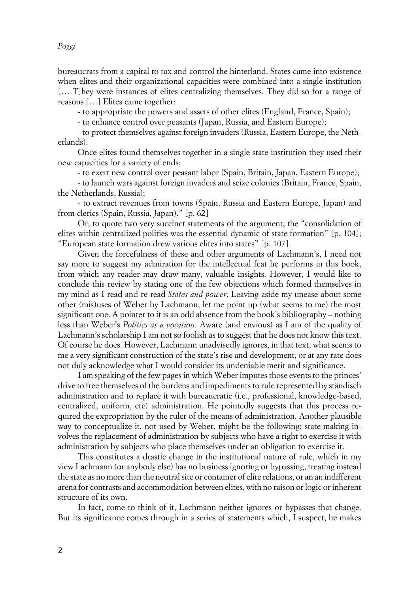*Poggi*

bureaucrats from a capital to tax and control the hinterland. States came into existence when elites and their organizational capacities were combined into a single institution [… T]hey were instances of elites centralizing themselves. They did so for a range of reasons […] Elites came together:

- to appropriate the powers and assets of other elites (England, France, Spain);

- to enhance control over peasants (Japan, Russia, and Eastern Europe);

- to protect themselves against foreign invaders (Russia, Eastern Europe, the Netherlands).

Once elites found themselves together in a single state institution they used their new capacities for a variety of ends:

- to exert new control over peasant labor (Spain, Britain, Japan, Eastern Europe);

- to launch wars against foreign invaders and seize colonies (Britain, France, Spain, the Netherlands, Russia);

- to extract revenues from towns (Spain, Russia and Eastern Europe, Japan) and from clerics (Spain, Russia, Japan)." [p. 62]

Or, to quote two very succinct statements of the argument, the "consolidation of elites within centralized polities was the essential dynamic of state formation" [p. 104]; "European state formation drew various elites into states" [p. 107].

Given the forcefulness of these and other arguments of Lachmann's, I need not say more to suggest my admiration for the intellectual feat he performs in this book, from which any reader may draw many, valuable insights. However, I would like to conclude this review by stating one of the few objections which formed themselves in my mind as I read and re-read *States and power*. Leaving aside my unease about some other (mis)uses of Weber by Lachmann, let me point up (what seems to me) the most significant one. A pointer to it is an odd absence from the book's bibliography – nothing less than Weber's *Politics as a vocation*. Aware (and envious) as I am of the quality of Lachmann's scholarship I am not so foolish as to suggest that he does not know this text. Of course he does. However, Lachmann unadvisedly ignores, in that text, what seems to me a very significant construction of the state's rise and development, or at any rate does not duly acknowledge what I would consider its undeniable merit and significance.

I am speaking of the few pages in which Weber imputes those events to the princes' drive to free themselves of the burdens and impediments to rule represented by ständisch administration and to replace it with bureaucratic (i.e., professional, knowledge-based, centralized, uniform, etc) administration. He pointedly suggests that this process required the expropriation by the ruler of the means of administration. Another plausible way to conceptualize it, not used by Weber, might be the following: state-making involves the replacement of administration by subjects who have a right to exercise it with administration by subjects who place themselves under an obligation to exercise it.

This constitutes a drastic change in the institutional nature of rule, which in my view Lachmann (or anybody else) has no business ignoring or bypassing, treating instead the state as no more than the neutral site or container of elite relations, or an an indifferent arena for contrasts and accommodation between elites, with no raison or logic or inherent structure of its own.

In fact, come to think of it, Lachmann neither ignores or bypasses that change. But its significance comes through in a series of statements which, I suspect, he makes